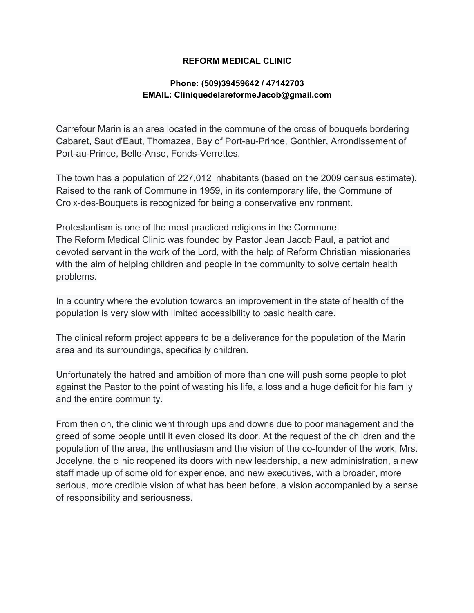#### **REFORM MEDICAL CLINIC**

#### **Phone: (509)39459642 / 47142703 EMAIL: CliniquedelareformeJacob@gmail.com**

Carrefour Marin is an area located in the commune of the cross of bouquets bordering Cabaret, Saut d'Eaut, Thomazea, Bay of Port-au-Prince, Gonthier, Arrondissement of Port-au-Prince, Belle-Anse, Fonds-Verrettes.

The town has a population of 227,012 inhabitants (based on the 2009 census estimate). Raised to the rank of Commune in 1959, in its contemporary life, the Commune of Croix-des-Bouquets is recognized for being a conservative environment.

Protestantism is one of the most practiced religions in the Commune. The Reform Medical Clinic was founded by Pastor Jean Jacob Paul, a patriot and devoted servant in the work of the Lord, with the help of Reform Christian missionaries with the aim of helping children and people in the community to solve certain health problems.

In a country where the evolution towards an improvement in the state of health of the population is very slow with limited accessibility to basic health care.

The clinical reform project appears to be a deliverance for the population of the Marin area and its surroundings, specifically children.

Unfortunately the hatred and ambition of more than one will push some people to plot against the Pastor to the point of wasting his life, a loss and a huge deficit for his family and the entire community.

From then on, the clinic went through ups and downs due to poor management and the greed of some people until it even closed its door. At the request of the children and the population of the area, the enthusiasm and the vision of the co-founder of the work, Mrs. Jocelyne, the clinic reopened its doors with new leadership, a new administration, a new staff made up of some old for experience, and new executives, with a broader, more serious, more credible vision of what has been before, a vision accompanied by a sense of responsibility and seriousness.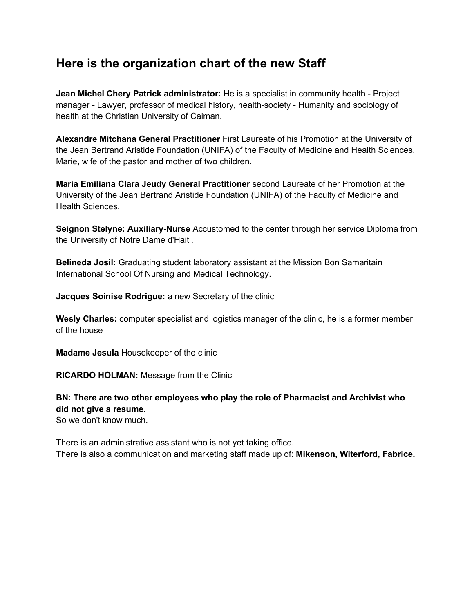## **Here is the organization chart of the new Staff**

**Jean Michel Chery Patrick administrator:** He is a specialist in community health - Project manager - Lawyer, professor of medical history, health-society - Humanity and sociology of health at the Christian University of Caiman.

**Alexandre Mitchana General Practitioner** First Laureate of his Promotion at the University of the Jean Bertrand Aristide Foundation (UNIFA) of the Faculty of Medicine and Health Sciences. Marie, wife of the pastor and mother of two children.

**Maria Emiliana Clara Jeudy General Practitioner** second Laureate of her Promotion at the University of the Jean Bertrand Aristide Foundation (UNIFA) of the Faculty of Medicine and Health Sciences.

**Seignon Stelyne: Auxiliary-Nurse** Accustomed to the center through her service Diploma from the University of Notre Dame d'Haiti.

**Belineda Josil:** Graduating student laboratory assistant at the Mission Bon Samaritain International School Of Nursing and Medical Technology.

**Jacques Soinise Rodrigue:** a new Secretary of the clinic

**Wesly Charles:** computer specialist and logistics manager of the clinic, he is a former member of the house

**Madame Jesula** Housekeeper of the clinic

**RICARDO HOLMAN:** Message from the Clinic

#### **BN: There are two other employees who play the role of Pharmacist and Archivist who did not give a resume.**

So we don't know much.

There is an administrative assistant who is not yet taking office. There is also a communication and marketing staff made up of: **Mikenson, Witerford, Fabrice.**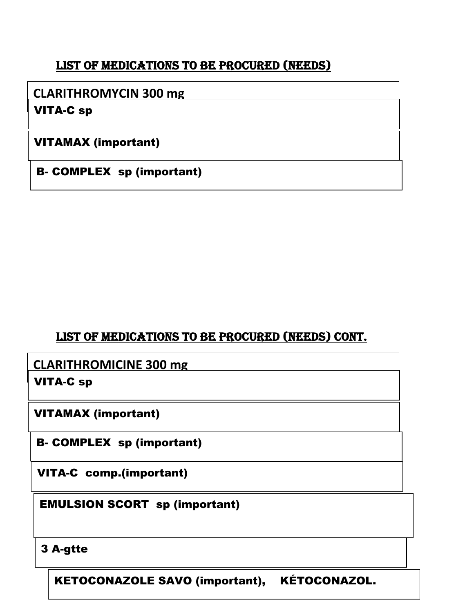## LIST OF MEDICATIONS TO BE PROCURED (NEEDS)

## **CLARITHROMYCIN 300 mg**

VITA-C sp

VITAMAX (important)

B- COMPLEX sp (important)

## LIST OF MEDICATIONS TO BE PROCURED (NEEDS) CONT.

**CLARITHROMICINE 300 mg**

VITA-C sp

VITAMAX (important)

B- COMPLEX sp (important)

VITA-C comp.(important)

EMULSION SCORT sp (important)

## 3 A-gtte

KETOCONAZOLE SAVO (important), KÉTOCONAZOL.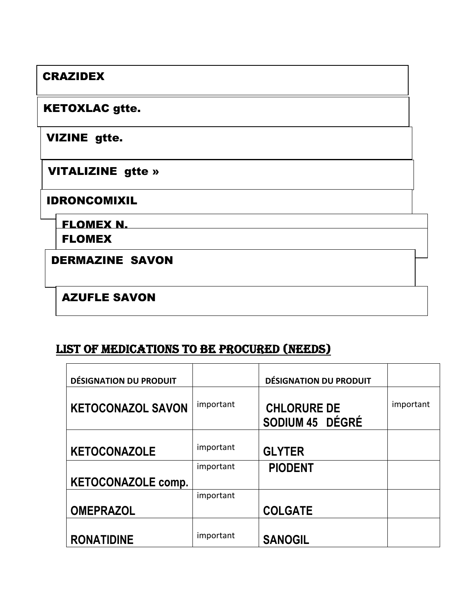## **CRAZIDEX**

### **KETOXLAC gtte.**

**VIZINE gtte.** 

**VITALIZINE** gtte »

#### **IDRONCOMIXIL**

**FLOMEX N.** 

**FLOMEX** 

**DERMAZINE SAVON** 

## **AZUFLE SAVON**

## LIST OF MEDICATIONS TO BE PROCURED (NEEDS)

| <b>DÉSIGNATION DU PRODUIT</b> |           | <b>DÉSIGNATION DU PRODUIT</b>         |           |
|-------------------------------|-----------|---------------------------------------|-----------|
| <b>KETOCONAZOL SAVON</b>      | important | <b>CHLORURE DE</b><br>SODIUM 45 DÉGRÉ | important |
| <b>KETOCONAZOLE</b>           | important | <b>GLYTER</b>                         |           |
| <b>KETOCONAZOLE comp.</b>     | important | <b>PIODENT</b>                        |           |
| <b>OMEPRAZOL</b>              | important | <b>COLGATE</b>                        |           |
| <b>RONATIDINE</b>             | important | <b>SANOGIL</b>                        |           |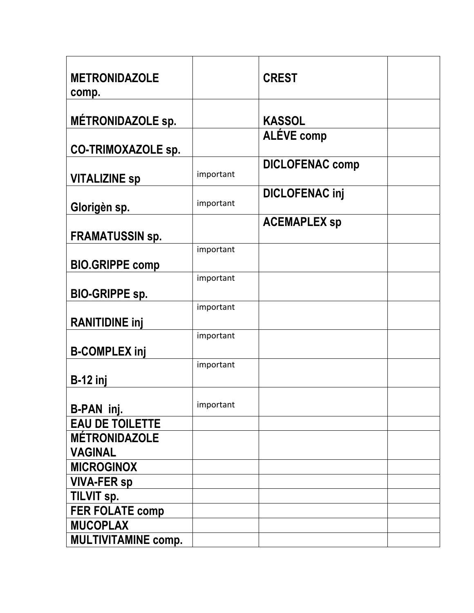| <b>METRONIDAZOLE</b><br>comp.                  |           | <b>CREST</b>           |  |
|------------------------------------------------|-----------|------------------------|--|
| <b>MÉTRONIDAZOLE sp.</b>                       |           | <b>KASSOL</b>          |  |
| <b>CO-TRIMOXAZOLE sp.</b>                      |           | <b>ALÉVE comp</b>      |  |
| <b>VITALIZINE Sp</b>                           | important | <b>DICLOFENAC comp</b> |  |
| Glorigèn sp.                                   | important | <b>DICLOFENAC inj</b>  |  |
| <b>FRAMATUSSIN sp.</b>                         |           | <b>ACEMAPLEX sp</b>    |  |
| <b>BIO.GRIPPE comp</b>                         | important |                        |  |
| <b>BIO-GRIPPE sp.</b>                          | important |                        |  |
| <b>RANITIDINE inj</b>                          | important |                        |  |
| <b>B-COMPLEX inj</b>                           | important |                        |  |
| $B-12$ inj                                     | important |                        |  |
| B-PAN inj.                                     | important |                        |  |
| <b>EAU DE TOILETTE</b><br><b>MÉTRONIDAZOLE</b> |           |                        |  |
| <b>VAGINAL</b>                                 |           |                        |  |
| <b>MICROGINOX</b><br><b>VIVA-FER sp</b>        |           |                        |  |
| TILVIT sp.<br><b>FER FOLATE comp</b>           |           |                        |  |
| <b>MUCOPLAX</b><br><b>MULTIVITAMINE comp.</b>  |           |                        |  |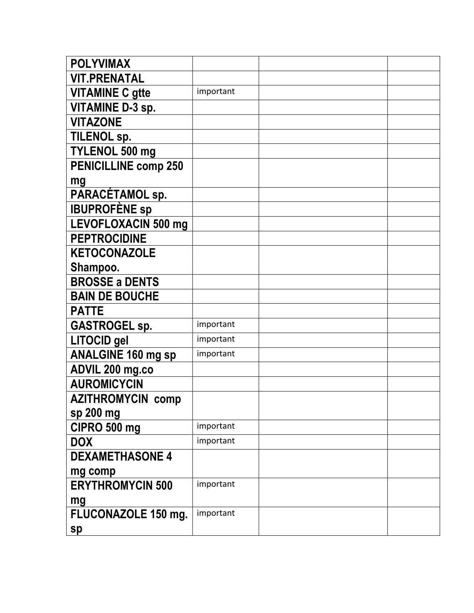| <b>POLYVIMAX</b>            |           |  |
|-----------------------------|-----------|--|
| <b>VIT.PRENATAL</b>         |           |  |
| <b>VITAMINE C gtte</b>      | important |  |
| <b>VITAMINE D-3 sp.</b>     |           |  |
| <b>VITAZONE</b>             |           |  |
| <b>TILENOL sp.</b>          |           |  |
| TYLENOL 500 mg              |           |  |
| <b>PENICILLINE comp 250</b> |           |  |
| mg                          |           |  |
| PARACÉTAMOL sp.             |           |  |
| <b>IBUPROFÈNE SP</b>        |           |  |
| <b>LEVOFLOXACIN 500 mg</b>  |           |  |
| <b>PEPTROCIDINE</b>         |           |  |
| <b>KETOCONAZOLE</b>         |           |  |
| Shampoo.                    |           |  |
| <b>BROSSE a DENTS</b>       |           |  |
| <b>BAIN DE BOUCHE</b>       |           |  |
| <b>PATTE</b>                |           |  |
| <b>GASTROGEL sp.</b>        | important |  |
| <b>LITOCID</b> gel          | important |  |
| <b>ANALGINE 160 mg sp</b>   | important |  |
| ADVIL 200 mg.co             |           |  |
| <b>AUROMICYCIN</b>          |           |  |
| <b>AZITHROMYCIN comp</b>    |           |  |
| sp 200 mg                   |           |  |
| CIPRO 500 mg                | important |  |
| <b>DOX</b>                  | important |  |
| <b>DEXAMETHASONE 4</b>      |           |  |
| mg comp                     |           |  |
| <b>ERYTHROMYCIN 500</b>     | important |  |
| mg                          |           |  |
| FLUCONAZOLE 150 mg.         | important |  |
| sp                          |           |  |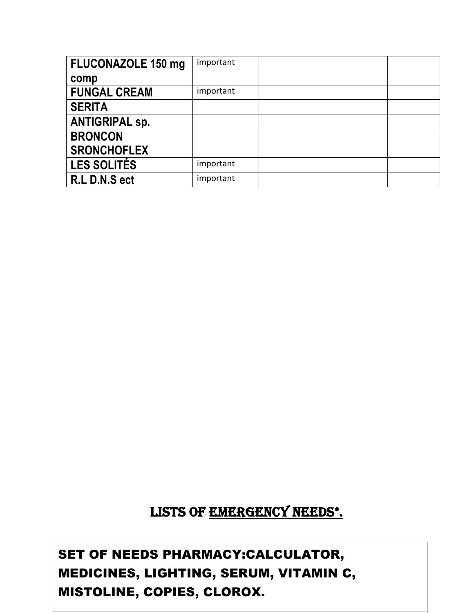| <b>FLUCONAZOLE 150 mg</b> | important |  |
|---------------------------|-----------|--|
| comp                      |           |  |
| <b>FUNGAL CREAM</b>       | important |  |
| <b>SERITA</b>             |           |  |
| <b>ANTIGRIPAL sp.</b>     |           |  |
| <b>BRONCON</b>            |           |  |
| <b>SRONCHOFLEX</b>        |           |  |
| <b>LES SOLITÉS</b>        | important |  |
| R.L D.N.S ect             | important |  |

# LISTS OF EMERGENCY NEEDS\*.

SET OF NEEDS PHARMACY:CALCULATOR, MEDICINES, LIGHTING, SERUM, VITAMIN C, MISTOLINE, COPIES, CLOROX.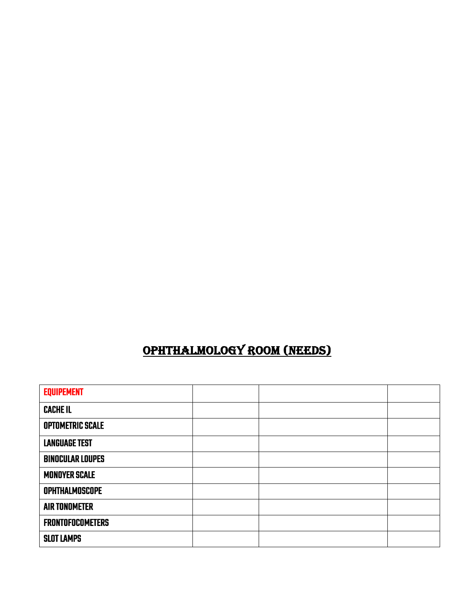| <b>EQUIPEMENT</b>       |  |  |
|-------------------------|--|--|
| <b>CACHE IL</b>         |  |  |
| <b>OPTOMETRIC SCALE</b> |  |  |
| <b>LANGUAGE TEST</b>    |  |  |
| <b>BINOCULAR LOUPES</b> |  |  |
| <b>MONOYER SCALE</b>    |  |  |
| <b>OPHTHALMOSCOPE</b>   |  |  |
| <b>AIR TONOMETER</b>    |  |  |
| <b>FRONTOFOCOMETERS</b> |  |  |
| <b>SLOT LAMPS</b>       |  |  |
|                         |  |  |

# OPHTHALMOLOGY ROOM (NEEDS)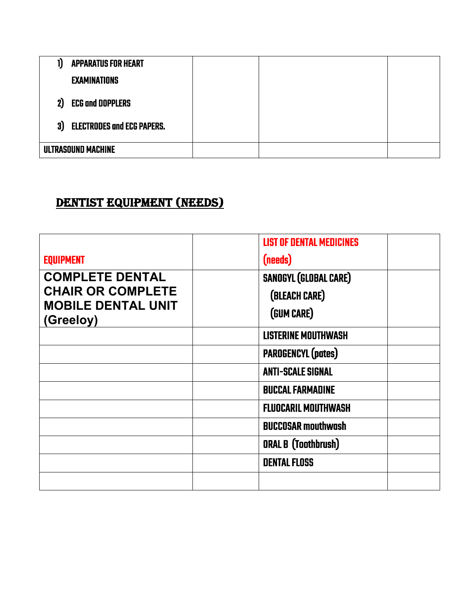| 1) | <b>APPARATUS FOR HEART</b>        |  |  |
|----|-----------------------------------|--|--|
|    | <b>EXAMINATIONS</b>               |  |  |
| 2) | <b>ECG and DOPPLERS</b>           |  |  |
| 3) | <b>ELECTRODES and ECG PAPERS.</b> |  |  |
|    | ULTRASOUND MACHINE                |  |  |

## DENTIST EQUIPMENT (NEEDS)

| <b>EQUIPMENT</b>                                                                             | <b>LIST OF DENTAL MEDICINES</b><br>(needs)                  |
|----------------------------------------------------------------------------------------------|-------------------------------------------------------------|
| <b>COMPLETE DENTAL</b><br><b>CHAIR OR COMPLETE</b><br><b>MOBILE DENTAL UNIT</b><br>(Greeloy) | <b>SANOGYL (GLOBAL CARE)</b><br>(BLEACH CARE)<br>(GUM CARE) |
|                                                                                              | <b>LISTERINE MOUTHWASH</b>                                  |
|                                                                                              | <b>PAROGENCYL (pates)</b>                                   |
|                                                                                              | <b>ANTI-SCALE SIGNAL</b>                                    |
|                                                                                              | <b>BUCCAL FARMADINE</b>                                     |
|                                                                                              | <b>FLUOCARIL MOUTHWASH</b>                                  |
|                                                                                              | <b>BUCCOSAR mouthwash</b>                                   |
|                                                                                              | <b>ORAL B (Toothbrush)</b>                                  |
|                                                                                              | <b>DENTAL FLOSS</b>                                         |
|                                                                                              |                                                             |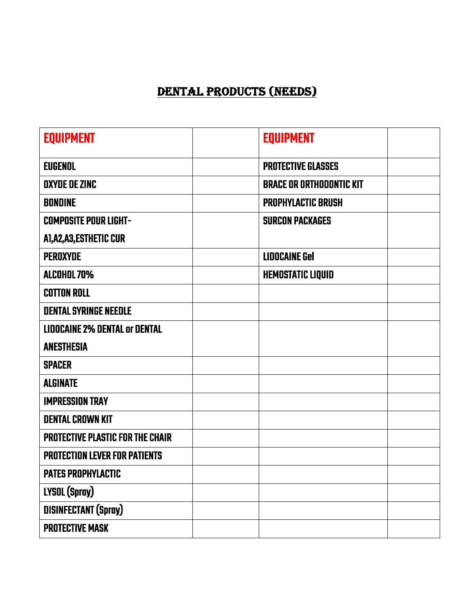# DENTAL PRODUCTS (NEEDS)

| <b>EQUIPMENT</b>                        | <b>EQUIPMENT</b>                |  |
|-----------------------------------------|---------------------------------|--|
| <b>EUGENOL</b>                          | <b>PROTECTIVE GLASSES</b>       |  |
| OXYDE DE ZINC                           | <b>BRACE OR ORTHODONTIC KIT</b> |  |
| <b>BONDINE</b>                          | <b>PROPHYLACTIC BRUSH</b>       |  |
| <b>COMPOSITE POUR LIGHT-</b>            | <b>SURCON PACKAGES</b>          |  |
| A1,A2,A3,ESTHETIC CUR                   |                                 |  |
| PEROXYDE                                | <b>LIDOCAINE Gel</b>            |  |
| <b>ALCOHOL 70%</b>                      | <b>HEMOSTATIC LIQUID</b>        |  |
| <b>COTTON ROLL</b>                      |                                 |  |
| <b>DENTAL SYRINGE NEEDLE</b>            |                                 |  |
| <b>LIDOCAINE 2% DENTAL Or DENTAL</b>    |                                 |  |
| <b>ANESTHESIA</b>                       |                                 |  |
| <b>SPACER</b>                           |                                 |  |
| <b>ALGINATE</b>                         |                                 |  |
| <b>IMPRESSION TRAY</b>                  |                                 |  |
| <b>DENTAL CROWN KIT</b>                 |                                 |  |
| <b>PROTECTIVE PLASTIC FOR THE CHAIR</b> |                                 |  |
| <b>PROTECTION LEVER FOR PATIENTS</b>    |                                 |  |
| <b>PATES PROPHYLACTIC</b>               |                                 |  |
| LYSOL (Spray)                           |                                 |  |
| <b>DISINFECTANT (Spray)</b>             |                                 |  |
| <b>PROTECTIVE MASK</b>                  |                                 |  |